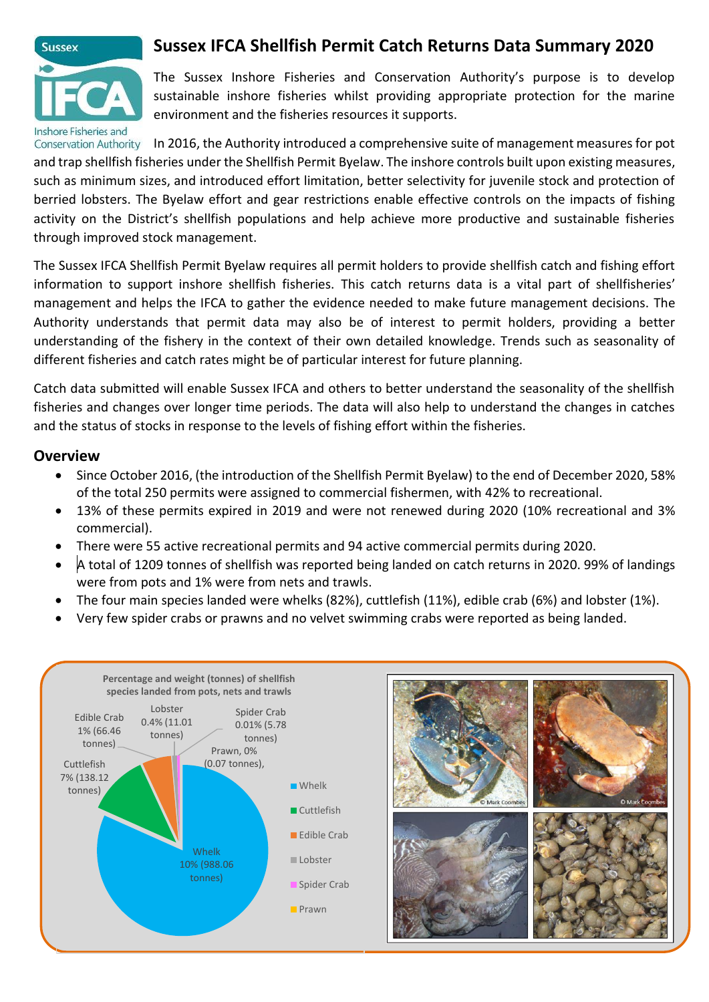

# **Sussex IFCA Shellfish Permit Catch Returns Data Summary 2020**

The Sussex Inshore Fisheries and Conservation Authority's purpose is to develop sustainable inshore fisheries whilst providing appropriate protection for the marine environment and the fisheries resources it supports.

Conservation Authority In 2016, the Authority introduced a comprehensive suite of management measures for pot and trap shellfish fisheries under the Shellfish Permit Byelaw. The inshore controls built upon existing measures, such as minimum sizes, and introduced effort limitation, better selectivity for juvenile stock and protection of berried lobsters. The Byelaw effort and gear restrictions enable effective controls on the impacts of fishing activity on the District's shellfish populations and help achieve more productive and sustainable fisheries through improved stock management.

The Sussex IFCA Shellfish Permit Byelaw requires all permit holders to provide shellfish catch and fishing effort information to support inshore shellfish fisheries. This catch returns data is a vital part of shellfisheries' management and helps the IFCA to gather the evidence needed to make future management decisions. The Authority understands that permit data may also be of interest to permit holders, providing a better understanding of the fishery in the context of their own detailed knowledge. Trends such as seasonality of different fisheries and catch rates might be of particular interest for future planning.

Catch data submitted will enable Sussex IFCA and others to better understand the seasonality of the shellfish fisheries and changes over longer time periods. The data will also help to understand the changes in catches and the status of stocks in response to the levels of fishing effort within the fisheries.

### **Overview**

- Since October 2016, (the introduction of the Shellfish Permit Byelaw) to the end of December 2020, 58% of the total 250 permits were assigned to commercial fishermen, with 42% to recreational.
- 13% of these permits expired in 2019 and were not renewed during 2020 (10% recreational and 3% commercial).
- There were 55 active recreational permits and 94 active commercial permits during 2020.
- A total of 1209 tonnes of shellfish was reported being landed on catch returns in 2020. 99% of landings were from pots and 1% were from nets and trawls.
- The four main species landed were whelks (82%), cuttlefish (11%), edible crab (6%) and lobster (1%).
- Very few spider crabs or prawns and no velvet swimming crabs were reported as being landed.

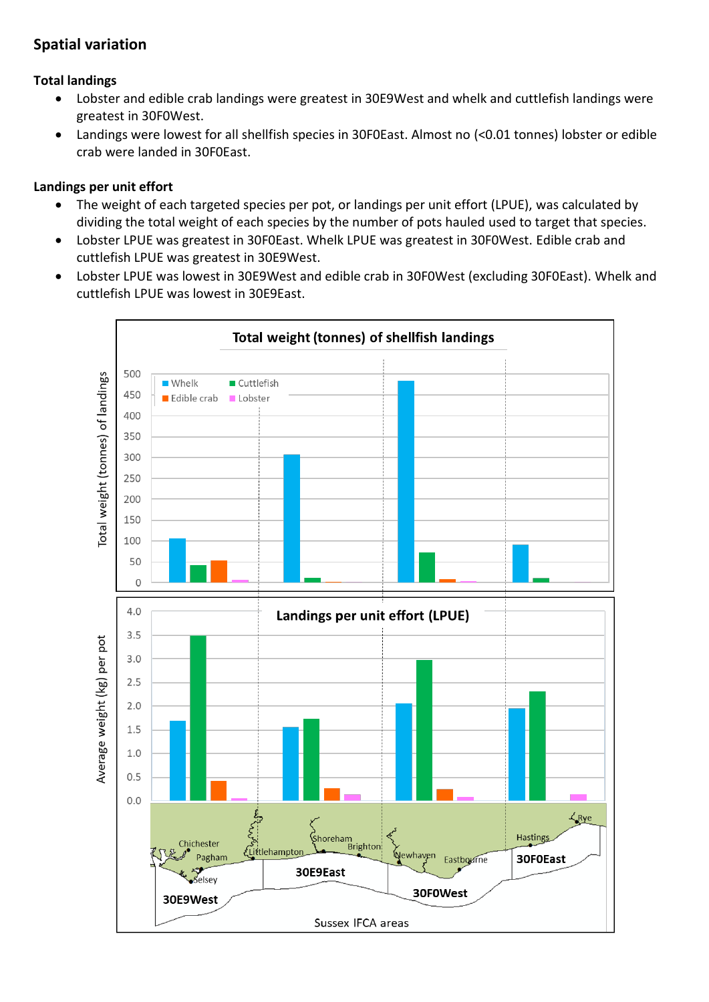# **Spatial variation**

## **Total landings**

- Lobster and edible crab landings were greatest in 30E9West and whelk and cuttlefish landings were greatest in 30F0West.
- Landings were lowest for all shellfish species in 30F0East. Almost no (<0.01 tonnes) lobster or edible crab were landed in 30F0East.

#### **Landings per unit effort**

- The weight of each targeted species per pot, or landings per unit effort (LPUE), was calculated by dividing the total weight of each species by the number of pots hauled used to target that species.
- Lobster LPUE was greatest in 30F0East. Whelk LPUE was greatest in 30F0West. Edible crab and cuttlefish LPUE was greatest in 30E9West.
- Lobster LPUE was lowest in 30E9West and edible crab in 30F0West (excluding 30F0East). Whelk and cuttlefish LPUE was lowest in 30E9East.

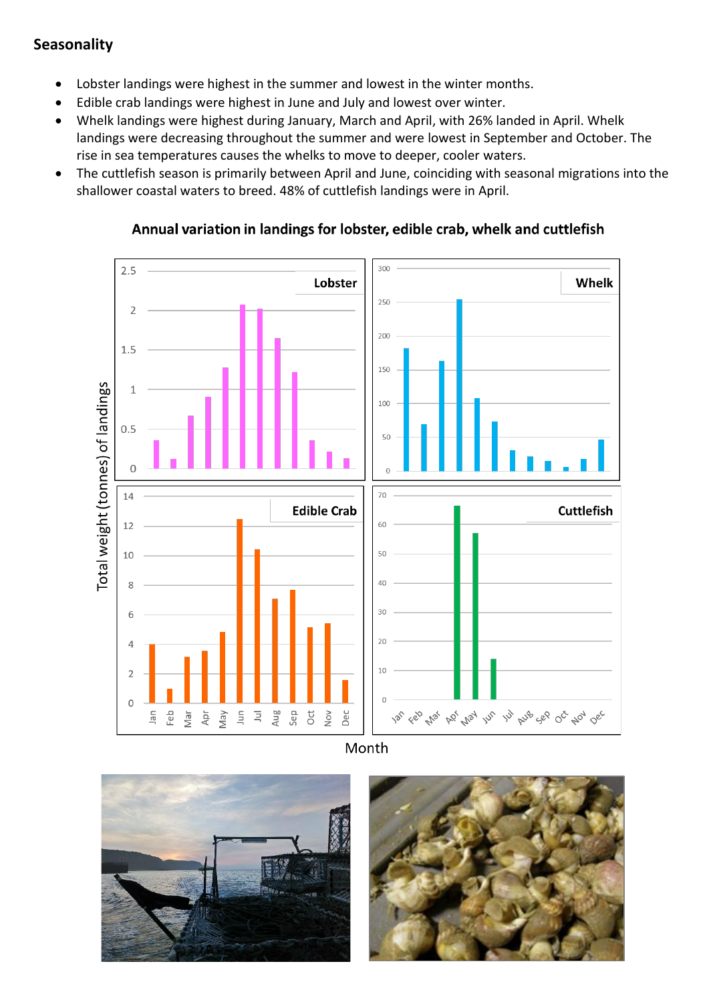# **Seasonality**

- Lobster landings were highest in the summer and lowest in the winter months.
- Edible crab landings were highest in June and July and lowest over winter.
- Whelk landings were highest during January, March and April, with 26% landed in April. Whelk landings were decreasing throughout the summer and were lowest in September and October. The rise in sea temperatures causes the whelks to move to deeper, cooler waters.
- The cuttlefish season is primarily between April and June, coinciding with seasonal migrations into the shallower coastal waters to breed. 48% of cuttlefish landings were in April.

300  $2.5$ Lobster Whelk 250  $\overline{2}$ 200  $1.5$ 150 Total weight (tonnes) of landings  $\mathbf{1}$  $100$  $0.5$ 50  $\epsilon$  $\sqrt{2}$  $70$ 14 **Edible Crab Cuttlefish**  $12$ 60  $10$ 50  $40$ Ş.  $30$  $\epsilon$  $20$  $\angle$  $10$  $\overline{z}$  $\Omega$  $\overline{0}$ 18, 18, 199, 199, 199, 191, 19, 19, 88, 00, 190, 06, Aug Sep Feb Apr Jun  $\equiv$ **Oct** Nov Dec Jan Mar Via

Annual variation in landings for lobster, edible crab, whelk and cuttlefish

Month